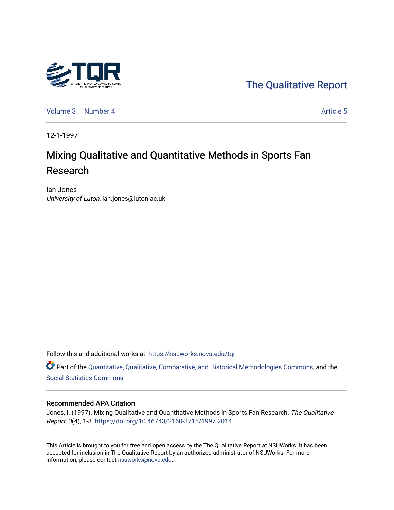

[The Qualitative Report](https://nsuworks.nova.edu/tqr) 

[Volume 3](https://nsuworks.nova.edu/tqr/vol3) | [Number 4](https://nsuworks.nova.edu/tqr/vol3/iss4) Article 5

12-1-1997

# Mixing Qualitative and Quantitative Methods in Sports Fan Research

Ian Jones University of Luton, ian.jones@luton.ac.uk

Follow this and additional works at: [https://nsuworks.nova.edu/tqr](https://nsuworks.nova.edu/tqr?utm_source=nsuworks.nova.edu%2Ftqr%2Fvol3%2Fiss4%2F5&utm_medium=PDF&utm_campaign=PDFCoverPages) 

Part of the [Quantitative, Qualitative, Comparative, and Historical Methodologies Commons,](http://network.bepress.com/hgg/discipline/423?utm_source=nsuworks.nova.edu%2Ftqr%2Fvol3%2Fiss4%2F5&utm_medium=PDF&utm_campaign=PDFCoverPages) and the [Social Statistics Commons](http://network.bepress.com/hgg/discipline/1275?utm_source=nsuworks.nova.edu%2Ftqr%2Fvol3%2Fiss4%2F5&utm_medium=PDF&utm_campaign=PDFCoverPages) 

#### Recommended APA Citation

Jones, I. (1997). Mixing Qualitative and Quantitative Methods in Sports Fan Research. The Qualitative Report, 3(4), 1-8. <https://doi.org/10.46743/2160-3715/1997.2014>

This Article is brought to you for free and open access by the The Qualitative Report at NSUWorks. It has been accepted for inclusion in The Qualitative Report by an authorized administrator of NSUWorks. For more information, please contact [nsuworks@nova.edu.](mailto:nsuworks@nova.edu)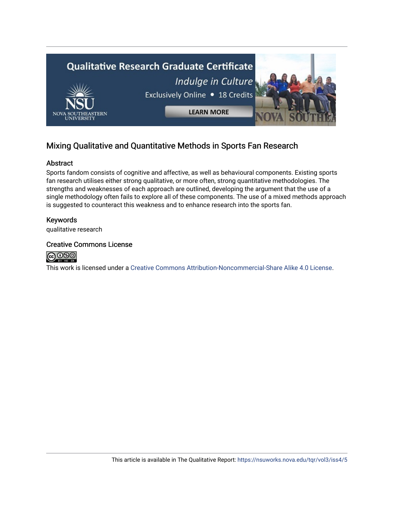

## Mixing Qualitative and Quantitative Methods in Sports Fan Research

#### Abstract

Sports fandom consists of cognitive and affective, as well as behavioural components. Existing sports fan research utilises either strong qualitative, or more often, strong quantitative methodologies. The strengths and weaknesses of each approach are outlined, developing the argument that the use of a single methodology often fails to explore all of these components. The use of a mixed methods approach is suggested to counteract this weakness and to enhance research into the sports fan.

### Keywords

qualitative research

#### Creative Commons License



This work is licensed under a [Creative Commons Attribution-Noncommercial-Share Alike 4.0 License](https://creativecommons.org/licenses/by-nc-sa/4.0/).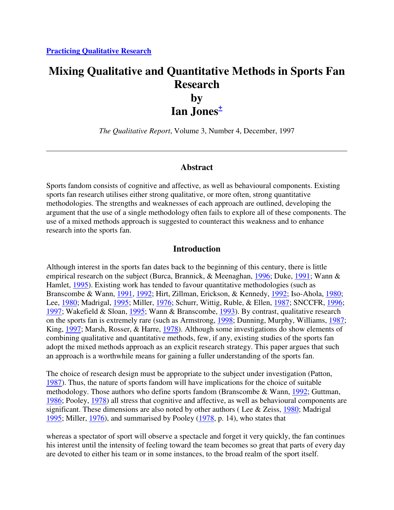## **Mixing Qualitative and Quantitative Methods in Sports Fan Research by**

**Ian Jones<sup>+</sup>**

*The Qualitative Report*, Volume 3, Number 4, December, 1997

### **Abstract**

Sports fandom consists of cognitive and affective, as well as behavioural components. Existing sports fan research utilises either strong qualitative, or more often, strong quantitative methodologies. The strengths and weaknesses of each approach are outlined, developing the argument that the use of a single methodology often fails to explore all of these components. The use of a mixed methods approach is suggested to counteract this weakness and to enhance research into the sports fan.

### **Introduction**

Although interest in the sports fan dates back to the beginning of this century, there is little empirical research on the subject (Burca, Brannick, & Meenaghan, 1996; Duke, 1991; Wann & Hamlet, 1995). Existing work has tended to favour quantitative methodologies (such as Branscombe & Wann, 1991, 1992; Hirt, Zillman, Erickson, & Kennedy, 1992; Iso-Ahola, 1980; Lee, 1980; Madrigal, 1995; Miller, 1976; Schurr, Wittig, Ruble, & Ellen, 1987; SNCCFR, 1996; 1997; Wakefield & Sloan, 1995; Wann & Branscombe, 1993). By contrast, qualitative research on the sports fan is extremely rare (such as Armstrong, 1998; Dunning, Murphy, Williams, 1987; King, 1997; Marsh, Rosser, & Harre, 1978). Although some investigations do show elements of combining qualitative and quantitative methods, few, if any, existing studies of the sports fan adopt the mixed methods approach as an explicit research strategy. This paper argues that such an approach is a worthwhile means for gaining a fuller understanding of the sports fan.

The choice of research design must be appropriate to the subject under investigation (Patton, 1987). Thus, the nature of sports fandom will have implications for the choice of suitable methodology. Those authors who define sports fandom (Branscombe & Wann, 1992; Guttman, 1986; Pooley, 1978) all stress that cognitive and affective, as well as behavioural components are significant. These dimensions are also noted by other authors (Lee & Zeiss,  $1980$ ; Madrigal 1995; Miller, 1976), and summarised by Pooley (1978, p. 14), who states that

whereas a spectator of sport will observe a spectacle and forget it very quickly, the fan continues his interest until the intensity of feeling toward the team becomes so great that parts of every day are devoted to either his team or in some instances, to the broad realm of the sport itself.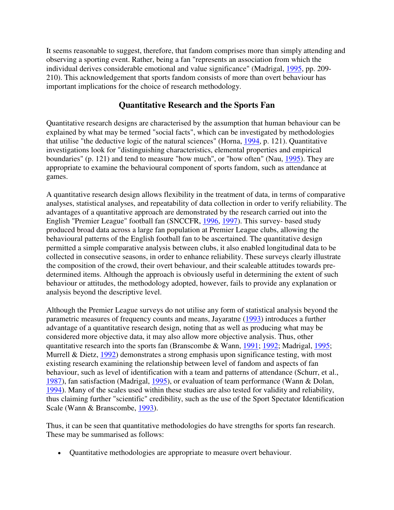It seems reasonable to suggest, therefore, that fandom comprises more than simply attending and observing a sporting event. Rather, being a fan "represents an association from which the individual derives considerable emotional and value significance" (Madrigal, 1995, pp. 209- 210). This acknowledgement that sports fandom consists of more than overt behaviour has important implications for the choice of research methodology.

## **Quantitative Research and the Sports Fan**

Quantitative research designs are characterised by the assumption that human behaviour can be explained by what may be termed "social facts", which can be investigated by methodologies that utilise "the deductive logic of the natural sciences" (Horna, 1994, p. 121). Quantitative investigations look for "distinguishing characteristics, elemental properties and empirical boundaries" (p. 121) and tend to measure "how much", or "how often" (Nau, 1995). They are appropriate to examine the behavioural component of sports fandom, such as attendance at games.

A quantitative research design allows flexibility in the treatment of data, in terms of comparative analyses, statistical analyses, and repeatability of data collection in order to verify reliability. The advantages of a quantitative approach are demonstrated by the research carried out into the English "Premier League" football fan (SNCCFR, 1996, 1997). This survey- based study produced broad data across a large fan population at Premier League clubs, allowing the behavioural patterns of the English football fan to be ascertained. The quantitative design permitted a simple comparative analysis between clubs, it also enabled longitudinal data to be collected in consecutive seasons, in order to enhance reliability. These surveys clearly illustrate the composition of the crowd, their overt behaviour, and their scaleable attitudes towards predetermined items. Although the approach is obviously useful in determining the extent of such behaviour or attitudes, the methodology adopted, however, fails to provide any explanation or analysis beyond the descriptive level.

Although the Premier League surveys do not utilise any form of statistical analysis beyond the parametric measures of frequency counts and means, Jayaratne (1993) introduces a further advantage of a quantitative research design, noting that as well as producing what may be considered more objective data, it may also allow more objective analysis. Thus, other quantitative research into the sports fan (Branscombe & Wann, 1991; 1992; Madrigal, 1995; Murrell & Dietz, 1992) demonstrates a strong emphasis upon significance testing, with most existing research examining the relationship between level of fandom and aspects of fan behaviour, such as level of identification with a team and patterns of attendance (Schurr, et al., 1987), fan satisfaction (Madrigal, 1995), or evaluation of team performance (Wann & Dolan, 1994). Many of the scales used within these studies are also tested for validity and reliability, thus claiming further "scientific" credibility, such as the use of the Sport Spectator Identification Scale (Wann & Branscombe, 1993).

Thus, it can be seen that quantitative methodologies do have strengths for sports fan research. These may be summarised as follows:

• Quantitative methodologies are appropriate to measure overt behaviour.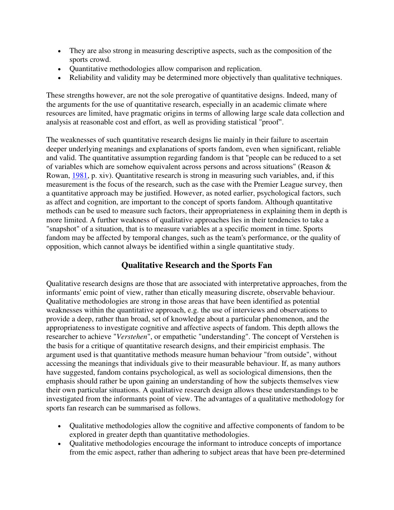- They are also strong in measuring descriptive aspects, such as the composition of the sports crowd.
- Quantitative methodologies allow comparison and replication.
- Reliability and validity may be determined more objectively than qualitative techniques.

These strengths however, are not the sole prerogative of quantitative designs. Indeed, many of the arguments for the use of quantitative research, especially in an academic climate where resources are limited, have pragmatic origins in terms of allowing large scale data collection and analysis at reasonable cost and effort, as well as providing statistical "proof".

The weaknesses of such quantitative research designs lie mainly in their failure to ascertain deeper underlying meanings and explanations of sports fandom, even when significant, reliable and valid. The quantitative assumption regarding fandom is that "people can be reduced to a set of variables which are somehow equivalent across persons and across situations" (Reason & Rowan, 1981, p. xiv). Quantitative research is strong in measuring such variables, and, if this measurement is the focus of the research, such as the case with the Premier League survey, then a quantitative approach may be justified. However, as noted earlier, psychological factors, such as affect and cognition, are important to the concept of sports fandom. Although quantitative methods can be used to measure such factors, their appropriateness in explaining them in depth is more limited. A further weakness of qualitative approaches lies in their tendencies to take a "snapshot" of a situation, that is to measure variables at a specific moment in time. Sports fandom may be affected by temporal changes, such as the team's performance, or the quality of opposition, which cannot always be identified within a single quantitative study.

## **Qualitative Research and the Sports Fan**

Qualitative research designs are those that are associated with interpretative approaches, from the informants' emic point of view, rather than etically measuring discrete, observable behaviour. Qualitative methodologies are strong in those areas that have been identified as potential weaknesses within the quantitative approach, e.g. the use of interviews and observations to provide a deep, rather than broad, set of knowledge about a particular phenomenon, and the appropriateness to investigate cognitive and affective aspects of fandom. This depth allows the researcher to achieve "*Verstehen*", or empathetic "understanding". The concept of Verstehen is the basis for a critique of quantitative research designs, and their empiricist emphasis. The argument used is that quantitative methods measure human behaviour "from outside", without accessing the meanings that individuals give to their measurable behaviour. If, as many authors have suggested, fandom contains psychological, as well as sociological dimensions, then the emphasis should rather be upon gaining an understanding of how the subjects themselves view their own particular situations. A qualitative research design allows these understandings to be investigated from the informants point of view. The advantages of a qualitative methodology for sports fan research can be summarised as follows.

- Qualitative methodologies allow the cognitive and affective components of fandom to be explored in greater depth than quantitative methodologies.
- Qualitative methodologies encourage the informant to introduce concepts of importance from the emic aspect, rather than adhering to subject areas that have been pre-determined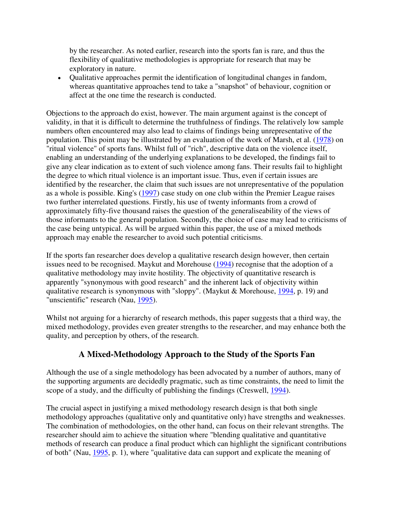by the researcher. As noted earlier, research into the sports fan is rare, and thus the flexibility of qualitative methodologies is appropriate for research that may be exploratory in nature.

• Qualitative approaches permit the identification of longitudinal changes in fandom, whereas quantitative approaches tend to take a "snapshot" of behaviour, cognition or affect at the one time the research is conducted.

Objections to the approach do exist, however. The main argument against is the concept of validity, in that it is difficult to determine the truthfulness of findings. The relatively low sample numbers often encountered may also lead to claims of findings being unrepresentative of the population. This point may be illustrated by an evaluation of the work of Marsh, et al. (1978) on "ritual violence" of sports fans. Whilst full of "rich", descriptive data on the violence itself, enabling an understanding of the underlying explanations to be developed, the findings fail to give any clear indication as to extent of such violence among fans. Their results fail to highlight the degree to which ritual violence is an important issue. Thus, even if certain issues are identified by the researcher, the claim that such issues are not unrepresentative of the population as a whole is possible. King's (1997) case study on one club within the Premier League raises two further interrelated questions. Firstly, his use of twenty informants from a crowd of approximately fifty-five thousand raises the question of the generaliseability of the views of those informants to the general population. Secondly, the choice of case may lead to criticisms of the case being untypical. As will be argued within this paper, the use of a mixed methods approach may enable the researcher to avoid such potential criticisms.

If the sports fan researcher does develop a qualitative research design however, then certain issues need to be recognised. Maykut and Morehouse (1994) recognise that the adoption of a qualitative methodology may invite hostility. The objectivity of quantitative research is apparently "synonymous with good research" and the inherent lack of objectivity within qualitative research is synonymous with "sloppy". (Maykut & Morehouse, 1994, p. 19) and "unscientific" research (Nau, 1995).

Whilst not arguing for a hierarchy of research methods, this paper suggests that a third way, the mixed methodology, provides even greater strengths to the researcher, and may enhance both the quality, and perception by others, of the research.

### **A Mixed-Methodology Approach to the Study of the Sports Fan**

Although the use of a single methodology has been advocated by a number of authors, many of the supporting arguments are decidedly pragmatic, such as time constraints, the need to limit the scope of a study, and the difficulty of publishing the findings (Creswell, 1994).

The crucial aspect in justifying a mixed methodology research design is that both single methodology approaches (qualitative only and quantitative only) have strengths and weaknesses. The combination of methodologies, on the other hand, can focus on their relevant strengths. The researcher should aim to achieve the situation where "blending qualitative and quantitative methods of research can produce a final product which can highlight the significant contributions of both" (Nau, 1995, p. 1), where "qualitative data can support and explicate the meaning of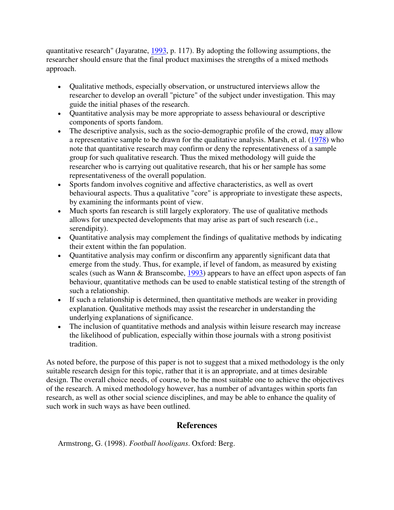quantitative research" (Jayaratne, 1993, p. 117). By adopting the following assumptions, the researcher should ensure that the final product maximises the strengths of a mixed methods approach.

- Qualitative methods, especially observation, or unstructured interviews allow the researcher to develop an overall "picture" of the subject under investigation. This may guide the initial phases of the research.
- Quantitative analysis may be more appropriate to assess behavioural or descriptive components of sports fandom.
- The descriptive analysis, such as the socio-demographic profile of the crowd, may allow a representative sample to be drawn for the qualitative analysis. Marsh, et al. (1978) who note that quantitative research may confirm or deny the representativeness of a sample group for such qualitative research. Thus the mixed methodology will guide the researcher who is carrying out qualitative research, that his or her sample has some representativeness of the overall population.
- Sports fandom involves cognitive and affective characteristics, as well as overt behavioural aspects. Thus a qualitative "core" is appropriate to investigate these aspects, by examining the informants point of view.
- Much sports fan research is still largely exploratory. The use of qualitative methods allows for unexpected developments that may arise as part of such research (i.e., serendipity).
- Quantitative analysis may complement the findings of qualitative methods by indicating their extent within the fan population.
- Quantitative analysis may confirm or disconfirm any apparently significant data that emerge from the study. Thus, for example, if level of fandom, as measured by existing scales (such as Wann & Branscombe, 1993) appears to have an effect upon aspects of fan behaviour, quantitative methods can be used to enable statistical testing of the strength of such a relationship.
- If such a relationship is determined, then quantitative methods are weaker in providing explanation. Qualitative methods may assist the researcher in understanding the underlying explanations of significance.
- The inclusion of quantitative methods and analysis within leisure research may increase the likelihood of publication, especially within those journals with a strong positivist tradition.

As noted before, the purpose of this paper is not to suggest that a mixed methodology is the only suitable research design for this topic, rather that it is an appropriate, and at times desirable design. The overall choice needs, of course, to be the most suitable one to achieve the objectives of the research. A mixed methodology however, has a number of advantages within sports fan research, as well as other social science disciplines, and may be able to enhance the quality of such work in such ways as have been outlined.

## **References**

Armstrong, G. (1998). *Football hooligans*. Oxford: Berg.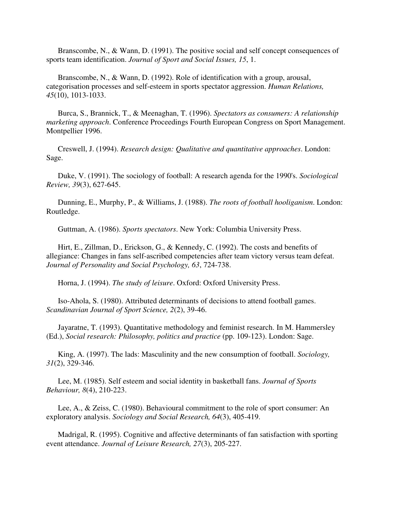Branscombe, N., & Wann, D. (1991). The positive social and self concept consequences of sports team identification. *Journal of Sport and Social Issues, 15*, 1.

 Branscombe, N., & Wann, D. (1992). Role of identification with a group, arousal, categorisation processes and self-esteem in sports spectator aggression. *Human Relations, 45*(10), 1013-1033.

 Burca, S., Brannick, T., & Meenaghan, T. (1996). *Spectators as consumers: A relationship marketing approach*. Conference Proceedings Fourth European Congress on Sport Management. Montpellier 1996.

 Creswell, J. (1994). *Research design: Qualitative and quantitative approaches*. London: Sage.

 Duke, V. (1991). The sociology of football: A research agenda for the 1990's. *Sociological Review, 39*(3), 627-645.

 Dunning, E., Murphy, P., & Williams, J. (1988). *The roots of football hooliganism*. London: Routledge.

Guttman, A. (1986). *Sports spectators*. New York: Columbia University Press.

 Hirt, E., Zillman, D., Erickson, G., & Kennedy, C. (1992). The costs and benefits of allegiance: Changes in fans self-ascribed competencies after team victory versus team defeat. *Journal of Personality and Social Psychology, 63*, 724-738.

Horna, J. (1994). *The study of leisure*. Oxford: Oxford University Press.

 Iso-Ahola, S. (1980). Attributed determinants of decisions to attend football games. *Scandinavian Journal of Sport Science, 2*(2), 39-46.

 Jayaratne, T. (1993). Quantitative methodology and feminist research. In M. Hammersley (Ed.), *Social research: Philosophy, politics and practice* (pp. 109-123). London: Sage.

 King, A. (1997). The lads: Masculinity and the new consumption of football. *Sociology, 31*(2), 329-346.

 Lee, M. (1985). Self esteem and social identity in basketball fans. *Journal of Sports Behaviour, 8*(4), 210-223.

 Lee, A., & Zeiss, C. (1980). Behavioural commitment to the role of sport consumer: An exploratory analysis. *Sociology and Social Research, 64*(3), 405-419.

 Madrigal, R. (1995). Cognitive and affective determinants of fan satisfaction with sporting event attendance. *Journal of Leisure Research, 27*(3), 205-227.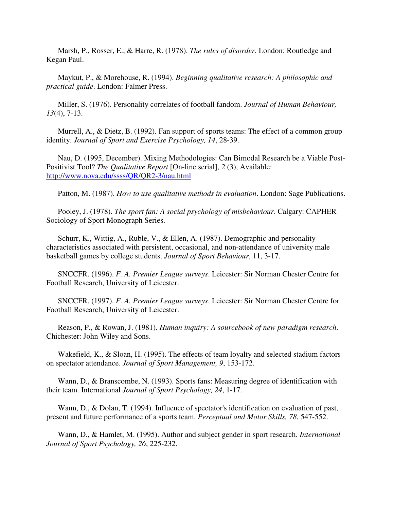Marsh, P., Rosser, E., & Harre, R. (1978). *The rules of disorder*. London: Routledge and Kegan Paul.

 Maykut, P., & Morehouse, R. (1994). *Beginning qualitative research: A philosophic and practical guide*. London: Falmer Press.

 Miller, S. (1976). Personality correlates of football fandom. *Journal of Human Behaviour, 13*(4), 7-13.

 Murrell, A., & Dietz, B. (1992). Fan support of sports teams: The effect of a common group identity. *Journal of Sport and Exercise Psychology, 14*, 28-39.

 Nau, D. (1995, December). Mixing Methodologies: Can Bimodal Research be a Viable Post-Positivist Tool? *The Qualitative Report* [On-line serial], *2* (3), Available: http://www.nova.edu/ssss/QR/QR2-3/nau.html

Patton, M. (1987). *How to use qualitative methods in evaluation*. London: Sage Publications.

 Pooley, J. (1978). *The sport fan: A social psychology of misbehaviour*. Calgary: CAPHER Sociology of Sport Monograph Series.

 Schurr, K., Wittig, A., Ruble, V., & Ellen, A. (1987). Demographic and personality characteristics associated with persistent, occasional, and non-attendance of university male basketball games by college students. *Journal of Sport Behaviour*, 11, 3-17.

 SNCCFR. (1996). *F. A. Premier League surveys*. Leicester: Sir Norman Chester Centre for Football Research, University of Leicester.

 SNCCFR. (1997). *F. A. Premier League surveys*. Leicester: Sir Norman Chester Centre for Football Research, University of Leicester.

 Reason, P., & Rowan, J. (1981). *Human inquiry: A sourcebook of new paradigm research*. Chichester: John Wiley and Sons.

 Wakefield, K., & Sloan, H. (1995). The effects of team loyalty and selected stadium factors on spectator attendance. *Journal of Sport Management, 9*, 153-172.

 Wann, D., & Branscombe, N. (1993). Sports fans: Measuring degree of identification with their team. International *Journal of Sport Psychology, 24*, 1-17.

 Wann, D., & Dolan, T. (1994). Influence of spectator's identification on evaluation of past, present and future performance of a sports team. *Perceptual and Motor Skills, 78*, 547-552.

 Wann, D., & Hamlet, M. (1995). Author and subject gender in sport research. *International Journal of Sport Psychology, 26*, 225-232.